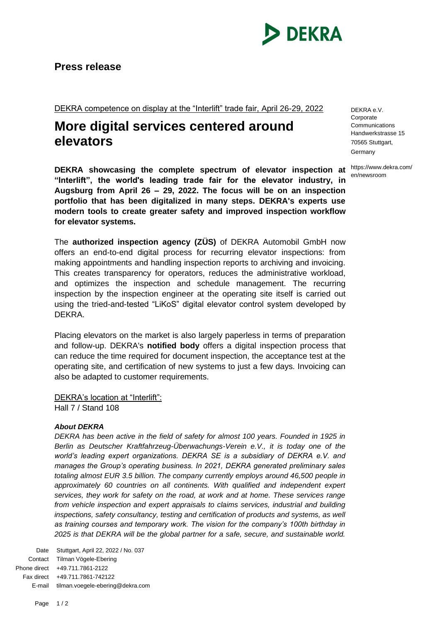

DEKRA competence on display at the "Interlift" trade fair, April 26-29, 2022

## **More digital services centered around elevators**

**DEKRA showcasing the complete spectrum of elevator inspection at "Interlift", the world's leading trade fair for the elevator industry, in Augsburg from April 26 – 29, 2022. The focus will be on an inspection portfolio that has been digitalized in many steps. DEKRA's experts use modern tools to create greater safety and improved inspection workflow for elevator systems.**

The **authorized inspection agency (ZÜS)** of DEKRA Automobil GmbH now offers an end-to-end digital process for recurring elevator inspections: from making appointments and handling inspection reports to archiving and invoicing. This creates transparency for operators, reduces the administrative workload, and optimizes the inspection and schedule management. The recurring inspection by the inspection engineer at the operating site itself is carried out using the tried-and-tested "LiKoS" digital elevator control system developed by DEKRA.

Placing elevators on the market is also largely paperless in terms of preparation and follow-up. DEKRA's **notified body** offers a digital inspection process that can reduce the time required for document inspection, the acceptance test at the operating site, and certification of new systems to just a few days. Invoicing can also be adapted to customer requirements.

DEKRA's location at "Interlift":

Hall 7 / Stand 108

## *About DEKRA*

*DEKRA has been active in the field of safety for almost 100 years. Founded in 1925 in Berlin as Deutscher Kraftfahrzeug-Überwachungs-Verein e.V., it is today one of the*  world's leading expert organizations. DEKRA SE is a subsidiary of DEKRA e.V. and *manages the Group's operating business. In 2021, DEKRA generated preliminary sales totaling almost EUR 3.5 billion. The company currently employs around 46,500 people in*  approximately 60 countries on all continents. With qualified and independent expert *services, they work for safety on the road, at work and at home. These services range from vehicle inspection and expert appraisals to claims services, industrial and building*  inspections, safety consultancy, testing and certification of products and systems, as well *as training courses and temporary work. The vision for the company's 100th birthday in 2025 is that DEKRA will be the global partner for a safe, secure, and sustainable world.* 

Date Stuttgart, April 22, 2022 / No. 037 Contact Tilman Vögele-Ebering Phone direct +49.711.7861-2122 Fax direct +49.711.7861-742122 E-mail tilman.voegele-ebering@dekra.com DEKRA e.V. **Corporate** Communications Handwerkstrasse 15 70565 Stuttgart, Germany

https://www.dekra.com/ en/newsroom